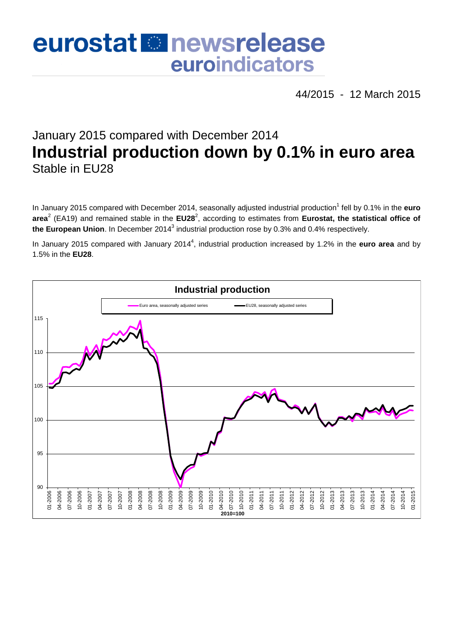# eurostat **Et newsrelease** euroindicators

44/2015 - 12 March 2015

# January 2015 compared with December 2014 **Industrial production down by 0.1% in euro area** Stable in EU28

In January 2015 compared with December 2014, seasonally adjusted industrial production<sup>1</sup> fell by 0.1% in the **euro** area<sup>2</sup> (EA19) and remained stable in the EU28<sup>2</sup>, according to estimates from Eurostat, the statistical office of the European Union. In December 2014<sup>3</sup> industrial production rose by 0.3% and 0.4% respectively.

In January 2015 compared with January 2014<sup>4</sup>, industrial production increased by 1.2% in the **euro area** and by 1.5% in the **EU28**.

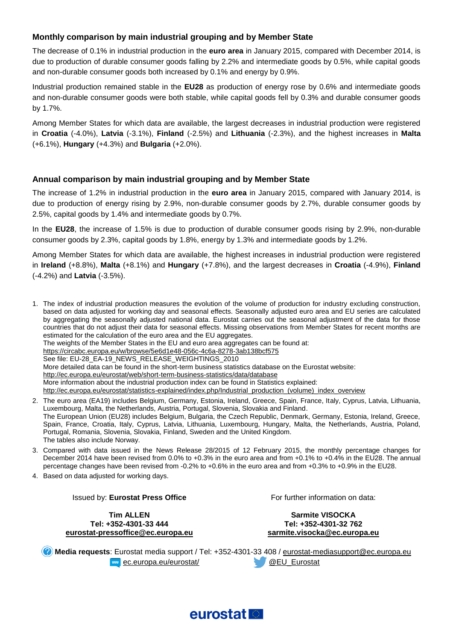# **Monthly comparison by main industrial grouping and by Member State**

The decrease of 0.1% in industrial production in the **euro area** in January 2015, compared with December 2014, is due to production of durable consumer goods falling by 2.2% and intermediate goods by 0.5%, while capital goods and non-durable consumer goods both increased by 0.1% and energy by 0.9%.

Industrial production remained stable in the **EU28** as production of energy rose by 0.6% and intermediate goods and non-durable consumer goods were both stable, while capital goods fell by 0.3% and durable consumer goods by 1.7%.

Among Member States for which data are available, the largest decreases in industrial production were registered in **Croatia** (-4.0%), **Latvia** (-3.1%), **Finland** (-2.5%) and **Lithuania** (-2.3%), and the highest increases in **Malta** (+6.1%), **Hungary** (+4.3%) and **Bulgaria** (+2.0%).

#### **Annual comparison by main industrial grouping and by Member State**

The increase of 1.2% in industrial production in the **euro area** in January 2015, compared with January 2014, is due to production of energy rising by 2.9%, non-durable consumer goods by 2.7%, durable consumer goods by 2.5%, capital goods by 1.4% and intermediate goods by 0.7%.

In the **EU28**, the increase of 1.5% is due to production of durable consumer goods rising by 2.9%, non-durable consumer goods by 2.3%, capital goods by 1.8%, energy by 1.3% and intermediate goods by 1.2%.

Among Member States for which data are available, the highest increases in industrial production were registered in **Ireland** (+8.8%), **Malta** (+8.1%) and **Hungary** (+7.8%), and the largest decreases in **Croatia** (-4.9%), **Finland** (-4.2%) and **Latvia** (-3.5%).

- 1. The index of industrial production measures the evolution of the volume of production for industry excluding construction, based on data adjusted for working day and seasonal effects. Seasonally adjusted euro area and EU series are calculated by aggregating the seasonally adjusted national data. Eurostat carries out the seasonal adjustment of the data for those countries that do not adjust their data for seasonal effects. Missing observations from Member States for recent months are estimated for the calculation of the euro area and the EU aggregates. The weights of the Member States in the EU and euro area aggregates can be found at: <https://circabc.europa.eu/w/browse/5e6d1e48-056c-4c6a-8278-3ab138bcf575> See file: EU-28\_EA-19\_NEWS\_RELEASE\_WEIGHTINGS\_2010 More detailed data can be found in the short-term business statistics database on the Eurostat website: <http://ec.europa.eu/eurostat/web/short-term-business-statistics/data/database> More information about the industrial production index can be found in Statistics explained: [http://ec.europa.eu/eurostat/statistics-explained/index.php/Industrial\\_production\\_\(volume\)\\_index\\_overview](http://ec.europa.eu/eurostat/statistics-explained/index.php/Industrial_production_(volume)_index_overview)
- 2. The euro area (EA19) includes Belgium, Germany, Estonia, Ireland, Greece, Spain, France, Italy, Cyprus, Latvia, Lithuania, Luxembourg, Malta, the Netherlands, Austria, Portugal, Slovenia, Slovakia and Finland. The European Union (EU28) includes Belgium, Bulgaria, the Czech Republic, Denmark, Germany, Estonia, Ireland, Greece, Spain, France, Croatia, Italy, Cyprus, Latvia, Lithuania, Luxembourg, Hungary, Malta, the Netherlands, Austria, Poland, Portugal, Romania, Slovenia, Slovakia, Finland, Sweden and the United Kingdom. The tables also include Norway.
- 3. Compared with data issued in the News Release 28/2015 of 12 February 2015, the monthly percentage changes for December 2014 have been revised from 0.0% to +0.3% in the euro area and from +0.1% to +0.4% in the EU28. The annual percentage changes have been revised from -0.2% to +0.6% in the euro area and from +0.3% to +0.9% in the EU28.
- 4. Based on data adjusted for working days.

Issued by: **Eurostat Press Office**

**Tim ALLEN Tel: +352-4301-33 444 eurostat-pressoffice@ec.europa.eu** For further information on data:

**Sarmite VISOCKA Tel: +352-4301-32 762 sarmite.visocka@ec.europa.eu**

**Media requests**: Eurostat media support / Tel: +352-4301-33 408 / [eurostat-mediasupport@ec.europa.eu](mailto:eurostat-mediasupport@ec.europa.eu) **EXECUTE EUROPE CONTROLLER IN A SECUTE EUROPE CONTROLLER INTERNATIONAL EUROPE CONTROLLER IN A SECUTE UP OF EUROPE CONTROLLER IN A SECUTE UP OF EUROPE CONTROLLER IN A SECUTE OF EUROPE CONTROLLER IN A SECUTE OF EUROPE CONTRO** 

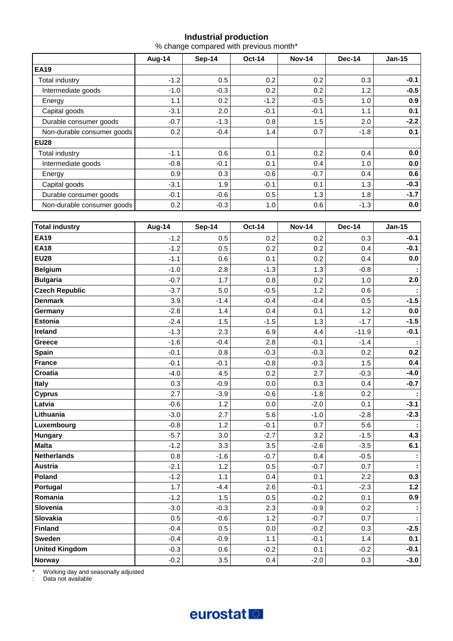## **Industrial production**

% change compared with previous month\*

|                            | Aug-14 | Sep-14 | <b>Oct-14</b> | <b>Nov-14</b> | Dec-14 | $Jan-15$ |  |
|----------------------------|--------|--------|---------------|---------------|--------|----------|--|
| <b>EA19</b>                |        |        |               |               |        |          |  |
| Total industry             | $-1.2$ | 0.5    | 0.2           | 0.2           | 0.3    | $-0.1$   |  |
| Intermediate goods         | $-1.0$ | $-0.3$ | 0.2           | 0.2           | 1.2    | $-0.5$   |  |
| Energy                     | 1.1    | 0.2    | $-1.2$        | $-0.5$        | 1.0    | 0.9      |  |
| Capital goods              | $-3.1$ | 2.0    | $-0.1$        | $-0.1$        | 1.1    | 0.1      |  |
| Durable consumer goods     | $-0.7$ | $-1.3$ | 0.8           | 1.5           | 2.0    | $-2.2$   |  |
| Non-durable consumer goods | 0.2    | $-0.4$ | 1.4           | 0.7           | $-1.8$ | 0.1      |  |
| <b>EU28</b>                |        |        |               |               |        |          |  |
| Total industry             | $-1.1$ | 0.6    | 0.1           | 0.2           | 0.4    | 0.0      |  |
| Intermediate goods         | $-0.8$ | $-0.1$ | 0.1           | 0.4           | 1.0    | 0.0      |  |
| Energy                     | 0.9    | 0.3    | $-0.6$        | $-0.7$        | 0.4    | 0.6      |  |
| Capital goods              | $-3.1$ | 1.9    | $-0.1$        | 0.1           | 1.3    | $-0.3$   |  |
| Durable consumer goods     | $-0.1$ | $-0.6$ | 0.5           | 1.3           | 1.8    | $-1.7$   |  |
| Non-durable consumer goods | 0.2    | $-0.3$ | 1.0           | 0.6           | $-1.3$ | 0.0      |  |

| <b>Total industry</b> | Aug-14 | <b>Sep-14</b> | <b>Oct-14</b> | <b>Nov-14</b> | <b>Dec-14</b> | <b>Jan-15</b> |
|-----------------------|--------|---------------|---------------|---------------|---------------|---------------|
| <b>EA19</b>           | $-1.2$ | 0.5           | 0.2           | 0.2           | 0.3           | $-0.1$        |
| <b>EA18</b>           | $-1.2$ | 0.5           | 0.2           | 0.2           | 0.4           | $-0.1$        |
| <b>EU28</b>           | $-1.1$ | 0.6           | 0.1           | 0.2           | 0.4           | 0.0           |
| <b>Belgium</b>        | $-1.0$ | 2.8           | $-1.3$        | 1.3           | $-0.8$        | ÷             |
| <b>Bulgaria</b>       | $-0.7$ | 1.7           | 0.8           | 0.2           | 1.0           | 2.0           |
| <b>Czech Republic</b> | $-3.7$ | 5.0           | $-0.5$        | 1.2           | 0.6           |               |
| <b>Denmark</b>        | 3.9    | $-1.4$        | $-0.4$        | $-0.4$        | 0.5           | $-1.5$        |
| Germany               | $-2.8$ | 1.4           | 0.4           | 0.1           | 1.2           | 0.0           |
| Estonia               | $-2.4$ | 1.5           | $-1.5$        | 1.3           | $-1.7$        | $-1.5$        |
| Ireland               | $-1.3$ | 2.3           | 6.9           | 4.4           | $-11.9$       | $-0.1$        |
| Greece                | $-1.6$ | $-0.4$        | 2.8           | $-0.1$        | $-1.4$        | ÷             |
| <b>Spain</b>          | $-0.1$ | 0.8           | $-0.3$        | $-0.3$        | 0.2           | 0.2           |
| <b>France</b>         | $-0.1$ | $-0.1$        | $-0.8$        | $-0.3$        | 1.5           | 0.4           |
| Croatia               | $-4.0$ | 4.5           | 0.2           | 2.7           | $-0.3$        | $-4.0$        |
| <b>Italy</b>          | 0.3    | $-0.9$        | 0.0           | 0.3           | 0.4           | $-0.7$        |
| <b>Cyprus</b>         | 2.7    | $-3.9$        | $-0.6$        | $-1.8$        | 0.2           |               |
| Latvia                | $-0.6$ | 1.2           | 0.0           | $-2.0$        | 0.1           | $-3.1$        |
| Lithuania             | $-3.0$ | 2.7           | 5.6           | $-1.0$        | $-2.8$        | $-2.3$        |
| Luxembourg            | $-0.8$ | 1.2           | $-0.1$        | 0.7           | 5.6           | ÷             |
| Hungary               | $-5.7$ | 3.0           | $-2.7$        | 3.2           | $-1.5$        | 4.3           |
| <b>Malta</b>          | $-1.2$ | 3.3           | 3.5           | $-2.6$        | $-3.5$        | 6.1           |
| <b>Netherlands</b>    | 0.8    | $-1.6$        | $-0.7$        | 0.4           | $-0.5$        | ÷             |
| <b>Austria</b>        | $-2.1$ | 1.2           | 0.5           | $-0.7$        | 0.7           |               |
| Poland                | $-1.2$ | 1.1           | 0.4           | 0.1           | 2.2           | 0.3           |
| Portugal              | 1.7    | $-4.4$        | 2.6           | $-0.1$        | $-2.3$        | $1.2$         |
| Romania               | $-1.2$ | 1.5           | 0.5           | $-0.2$        | 0.1           | 0.9           |
| Slovenia              | $-3.0$ | $-0.3$        | 2.3           | $-0.9$        | 0.2           | ÷             |
| Slovakia              | 0.5    | $-0.6$        | 1.2           | $-0.7$        | 0.7           |               |
| <b>Finland</b>        | $-0.4$ | 0.5           | 0.0           | $-0.2$        | 0.3           | $-2.5$        |
| Sweden                | $-0.4$ | $-0.9$        | 1.1           | $-0.1$        | 1.4           | 0.1           |
| <b>United Kingdom</b> | $-0.3$ | 0.6           | $-0.2$        | 0.1           | $-0.2$        | $-0.1$        |
| <b>Norway</b>         | $-0.2$ | 3.5           | 0.4           | $-2.0$        | 0.3           | $-3.0$        |

\* Working day and seasonally adjusted

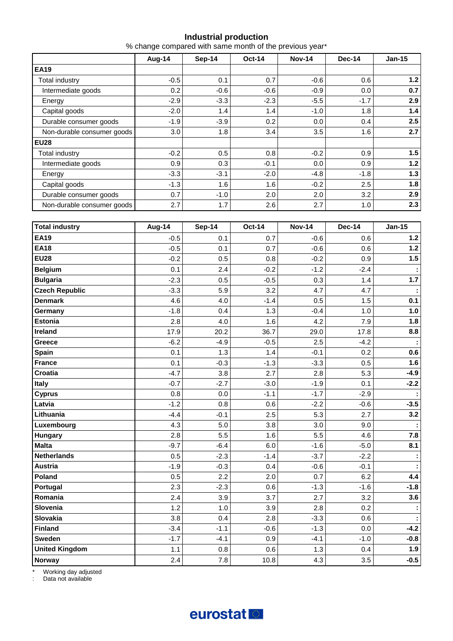#### **Industrial production**

% change compared with same month of the previous year\*

|                            | Aug-14 | Sep-14 | <b>Oct-14</b> | <b>Nov-14</b> | Dec-14 | $Jan-15$ |  |
|----------------------------|--------|--------|---------------|---------------|--------|----------|--|
| <b>EA19</b>                |        |        |               |               |        |          |  |
| Total industry             | $-0.5$ | 0.1    | 0.7           | $-0.6$        | 0.6    | 1.2      |  |
| Intermediate goods         | 0.2    | $-0.6$ | $-0.6$        | $-0.9$        | 0.0    | 0.7      |  |
| Energy                     | $-2.9$ | $-3.3$ | $-2.3$        | $-5.5$        | $-1.7$ | 2.9      |  |
| Capital goods              | $-2.0$ | 1.4    | 1.4           | $-1.0$        | 1.8    | 1.4      |  |
| Durable consumer goods     | $-1.9$ | $-3.9$ | 0.2           | 0.0           | 0.4    | 2.5      |  |
| Non-durable consumer goods | 3.0    | 1.8    | 3.4           | 3.5           | 1.6    | 2.7      |  |
| <b>EU28</b>                |        |        |               |               |        |          |  |
| Total industry             | $-0.2$ | 0.5    | 0.8           | $-0.2$        | 0.9    | 1.5      |  |
| Intermediate goods         | 0.9    | 0.3    | $-0.1$        | 0.0           | 0.9    | 1.2      |  |
| Energy                     | $-3.3$ | $-3.1$ | $-2.0$        | $-4.8$        | $-1.8$ | 1.3      |  |
| Capital goods              | $-1.3$ | 1.6    | 1.6           | $-0.2$        | 2.5    | 1.8      |  |
| Durable consumer goods     | 0.7    | $-1.0$ | 2.0           | 2.0           | 3.2    | 2.9      |  |
| Non-durable consumer goods | 2.7    | 1.7    | 2.6           | 2.7           | 1.0    | 2.3      |  |

| <b>Total industry</b> | Aug-14 | <b>Sep-14</b> | <b>Oct-14</b> | <b>Nov-14</b> | <b>Dec-14</b> | <b>Jan-15</b> |
|-----------------------|--------|---------------|---------------|---------------|---------------|---------------|
| <b>EA19</b>           | $-0.5$ | 0.1           | 0.7           | $-0.6$        | 0.6           | $1.2$         |
| <b>EA18</b>           | $-0.5$ | 0.1           | 0.7           | $-0.6$        | 0.6           | $1.2$         |
| <b>EU28</b>           | $-0.2$ | 0.5           | 0.8           | $-0.2$        | 0.9           | 1.5           |
| <b>Belgium</b>        | 0.1    | 2.4           | $-0.2$        | $-1.2$        | $-2.4$        | ł,            |
| <b>Bulgaria</b>       | $-2.3$ | 0.5           | $-0.5$        | 0.3           | 1.4           | 1.7           |
| <b>Czech Republic</b> | $-3.3$ | 5.9           | 3.2           | 4.7           | 4.7           |               |
| <b>Denmark</b>        | 4.6    | 4.0           | $-1.4$        | 0.5           | 1.5           | 0.1           |
| Germany               | $-1.8$ | 0.4           | 1.3           | $-0.4$        | 1.0           | 1.0           |
| <b>Estonia</b>        | 2.8    | 4.0           | 1.6           | 4.2           | 7.9           | 1.8           |
| Ireland               | 17.9   | 20.2          | 36.7          | 29.0          | 17.8          | 8.8           |
| Greece                | $-6.2$ | $-4.9$        | $-0.5$        | 2.5           | $-4.2$        | ÷             |
| <b>Spain</b>          | 0.1    | 1.3           | 1.4           | $-0.1$        | 0.2           | 0.6           |
| <b>France</b>         | 0.1    | $-0.3$        | $-1.3$        | $-3.3$        | 0.5           | 1.6           |
| <b>Croatia</b>        | $-4.7$ | 3.8           | 2.7           | 2.8           | 5.3           | $-4.9$        |
| <b>Italy</b>          | $-0.7$ | $-2.7$        | $-3.0$        | $-1.9$        | 0.1           | $-2.2$        |
| <b>Cyprus</b>         | 0.8    | 0.0           | $-1.1$        | $-1.7$        | $-2.9$        |               |
| Latvia                | $-1.2$ | 0.8           | 0.6           | $-2.2$        | $-0.6$        | $-3.5$        |
| Lithuania             | $-4.4$ | $-0.1$        | 2.5           | 5.3           | 2.7           | 3.2           |
| Luxembourg            | 4.3    | 5.0           | 3.8           | 3.0           | 9.0           | ÷             |
| Hungary               | 2.8    | 5.5           | 1.6           | 5.5           | 4.6           | 7.8           |
| <b>Malta</b>          | $-9.7$ | $-6.4$        | 6.0           | $-1.6$        | $-5.0$        | 8.1           |
| <b>Netherlands</b>    | 0.5    | $-2.3$        | $-1.4$        | $-3.7$        | $-2.2$        | ÷             |
| <b>Austria</b>        | $-1.9$ | $-0.3$        | 0.4           | $-0.6$        | $-0.1$        |               |
| Poland                | 0.5    | 2.2           | 2.0           | 0.7           | 6.2           | 4.4           |
| Portugal              | 2.3    | $-2.3$        | 0.6           | $-1.3$        | $-1.6$        | $-1.8$        |
| Romania               | 2.4    | 3.9           | 3.7           | 2.7           | 3.2           | 3.6           |
| Slovenia              | 1.2    | 1.0           | 3.9           | 2.8           | 0.2           | ÷             |
| Slovakia              | 3.8    | 0.4           | 2.8           | $-3.3$        | 0.6           |               |
| <b>Finland</b>        | $-3.4$ | $-1.1$        | $-0.6$        | $-1.3$        | 0.0           | $-4.2$        |
| <b>Sweden</b>         | $-1.7$ | $-4.1$        | 0.9           | $-4.1$        | $-1.0$        | $-0.8$        |
| <b>United Kingdom</b> | 1.1    | 0.8           | 0.6           | 1.3           | 0.4           | 1.9           |
| <b>Norway</b>         | 2.4    | 7.8           | 10.8          | 4.3           | 3.5           | $-0.5$        |

\* Working day adjusted

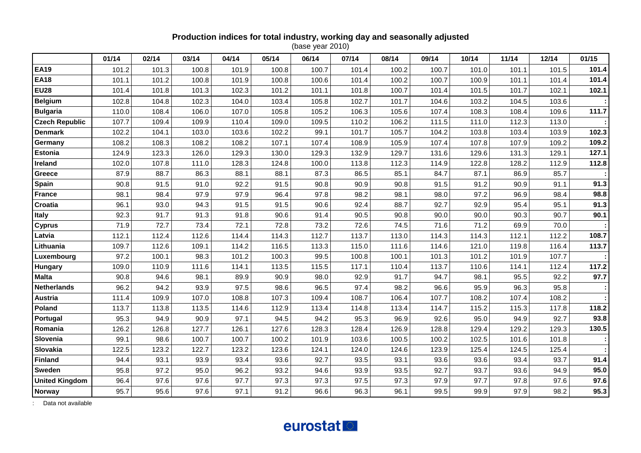## **Production indices for total industry, working day and seasonally adjusted**

(base year 2010)

|                       | 01/14 | 02/14 | 03/14 | 04/14 | 05/14 | 06/14 | 07/14 | 08/14 | 09/14 | 10/14 | 11/14 | 12/14 | 01/15 |
|-----------------------|-------|-------|-------|-------|-------|-------|-------|-------|-------|-------|-------|-------|-------|
| <b>EA19</b>           | 101.2 | 101.3 | 100.8 | 101.9 | 100.8 | 100.7 | 101.4 | 100.2 | 100.7 | 101.0 | 101.1 | 101.5 | 101.4 |
| <b>EA18</b>           | 101.1 | 101.2 | 100.8 | 101.9 | 100.8 | 100.6 | 101.4 | 100.2 | 100.7 | 100.9 | 101.1 | 101.4 | 101.4 |
| <b>EU28</b>           | 101.4 | 101.8 | 101.3 | 102.3 | 101.2 | 101.1 | 101.8 | 100.7 | 101.4 | 101.5 | 101.7 | 102.1 | 102.1 |
| <b>Belgium</b>        | 102.8 | 104.8 | 102.3 | 104.0 | 103.4 | 105.8 | 102.7 | 101.7 | 104.6 | 103.2 | 104.5 | 103.6 |       |
| <b>Bulgaria</b>       | 110.0 | 108.4 | 106.0 | 107.0 | 105.8 | 105.2 | 106.3 | 105.6 | 107.4 | 108.3 | 108.4 | 109.6 | 111.7 |
| <b>Czech Republic</b> | 107.7 | 109.4 | 109.9 | 110.4 | 109.0 | 109.5 | 110.2 | 106.2 | 111.5 | 111.0 | 112.3 | 113.0 |       |
| <b>Denmark</b>        | 102.2 | 104.1 | 103.0 | 103.6 | 102.2 | 99.1  | 101.7 | 105.7 | 104.2 | 103.8 | 103.4 | 103.9 | 102.3 |
| Germany               | 108.2 | 108.3 | 108.2 | 108.2 | 107.1 | 107.4 | 108.9 | 105.9 | 107.4 | 107.8 | 107.9 | 109.2 | 109.2 |
| <b>Estonia</b>        | 124.9 | 123.3 | 126.0 | 129.3 | 130.0 | 129.3 | 132.9 | 129.7 | 131.6 | 129.6 | 131.3 | 129.1 | 127.1 |
| Ireland               | 102.0 | 107.8 | 111.0 | 128.3 | 124.8 | 100.0 | 113.8 | 112.3 | 114.9 | 122.8 | 128.2 | 112.9 | 112.8 |
| Greece                | 87.9  | 88.7  | 86.3  | 88.1  | 88.1  | 87.3  | 86.5  | 85.1  | 84.7  | 87.1  | 86.9  | 85.7  |       |
| Spain                 | 90.8  | 91.5  | 91.0  | 92.2  | 91.5  | 90.8  | 90.9  | 90.8  | 91.5  | 91.2  | 90.9  | 91.1  | 91.3  |
| <b>France</b>         | 98.1  | 98.4  | 97.9  | 97.9  | 96.4  | 97.8  | 98.2  | 98.1  | 98.0  | 97.2  | 96.9  | 98.4  | 98.8  |
| Croatia               | 96.1  | 93.0  | 94.3  | 91.5  | 91.5  | 90.6  | 92.4  | 88.7  | 92.7  | 92.9  | 95.4  | 95.1  | 91.3  |
| <b>Italy</b>          | 92.3  | 91.7  | 91.3  | 91.8  | 90.6  | 91.4  | 90.5  | 90.8  | 90.0  | 90.0  | 90.3  | 90.7  | 90.1  |
| <b>Cyprus</b>         | 71.9  | 72.7  | 73.4  | 72.1  | 72.8  | 73.2  | 72.6  | 74.5  | 71.6  | 71.2  | 69.9  | 70.0  |       |
| Latvia                | 112.1 | 112.4 | 112.6 | 114.4 | 114.3 | 112.7 | 113.7 | 113.0 | 114.3 | 114.3 | 112.1 | 112.2 | 108.7 |
| Lithuania             | 109.7 | 112.6 | 109.1 | 114.2 | 116.5 | 113.3 | 115.0 | 111.6 | 114.6 | 121.0 | 119.8 | 116.4 | 113.7 |
| Luxembourg            | 97.2  | 100.1 | 98.3  | 101.2 | 100.3 | 99.5  | 100.8 | 100.1 | 101.3 | 101.2 | 101.9 | 107.7 |       |
| Hungary               | 109.0 | 110.9 | 111.6 | 114.1 | 113.5 | 115.5 | 117.1 | 110.4 | 113.7 | 110.6 | 114.1 | 112.4 | 117.2 |
| <b>Malta</b>          | 90.8  | 94.6  | 98.1  | 89.9  | 90.9  | 98.0  | 92.9  | 91.7  | 94.7  | 98.1  | 95.5  | 92.2  | 97.7  |
| <b>Netherlands</b>    | 96.2  | 94.2  | 93.9  | 97.5  | 98.6  | 96.5  | 97.4  | 98.2  | 96.6  | 95.9  | 96.3  | 95.8  |       |
| Austria               | 111.4 | 109.9 | 107.0 | 108.8 | 107.3 | 109.4 | 108.7 | 106.4 | 107.7 | 108.2 | 107.4 | 108.2 |       |
| Poland                | 113.7 | 113.8 | 113.5 | 114.6 | 112.9 | 113.4 | 114.8 | 113.4 | 114.7 | 115.2 | 115.3 | 117.8 | 118.2 |
| Portugal              | 95.3  | 94.9  | 90.9  | 97.1  | 94.5  | 94.2  | 95.3  | 96.9  | 92.6  | 95.0  | 94.9  | 92.7  | 93.8  |
| Romania               | 126.2 | 126.8 | 127.7 | 126.1 | 127.6 | 128.3 | 128.4 | 126.9 | 128.8 | 129.4 | 129.2 | 129.3 | 130.5 |
| Slovenia              | 99.1  | 98.6  | 100.7 | 100.7 | 100.2 | 101.9 | 103.6 | 100.5 | 100.2 | 102.5 | 101.6 | 101.8 |       |
| Slovakia              | 122.5 | 123.2 | 122.7 | 123.2 | 123.6 | 124.1 | 124.0 | 124.6 | 123.9 | 125.4 | 124.5 | 125.4 |       |
| <b>Finland</b>        | 94.4  | 93.1  | 93.9  | 93.4  | 93.6  | 92.7  | 93.5  | 93.1  | 93.6  | 93.6  | 93.4  | 93.7  | 91.4  |
| Sweden                | 95.8  | 97.2  | 95.0  | 96.2  | 93.2  | 94.6  | 93.9  | 93.5  | 92.7  | 93.7  | 93.6  | 94.9  | 95.0  |
| <b>United Kingdom</b> | 96.4  | 97.6  | 97.6  | 97.7  | 97.3  | 97.3  | 97.5  | 97.3  | 97.9  | 97.7  | 97.8  | 97.6  | 97.6  |
| <b>Norway</b>         | 95.7  | 95.6  | 97.6  | 97.1  | 91.2  | 96.6  | 96.3  | 96.1  | 99.5  | 99.9  | 97.9  | 98.2  | 95.3  |